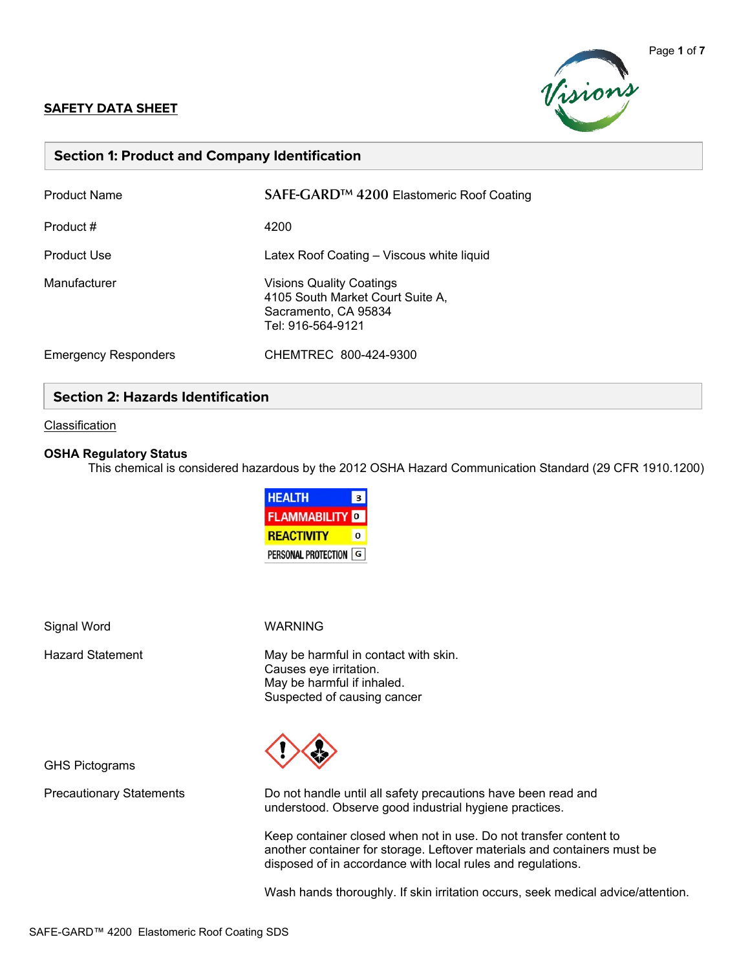#### **SAFETY DATA SHEET**



## **Section 1: Product and Company Identification**

| <b>Product Name</b>         | SAFE-GARD <sup>™</sup> 4200 Elastomeric Roof Coating                                                             |
|-----------------------------|------------------------------------------------------------------------------------------------------------------|
| Product #                   | 4200                                                                                                             |
| <b>Product Use</b>          | Latex Roof Coating - Viscous white liquid                                                                        |
| Manufacturer                | <b>Visions Quality Coatings</b><br>4105 South Market Court Suite A,<br>Sacramento, CA 95834<br>Tel: 916-564-9121 |
| <b>Emergency Responders</b> | CHEMTREC 800-424-9300                                                                                            |

## **Section 2: Hazards Identification**

#### **Classification**

#### **OSHA Regulatory Status**

This chemical is considered hazardous by the 2012 OSHA Hazard Communication Standard (29 CFR 1910.1200)

| <b>HEALTH</b>         | 3 |
|-----------------------|---|
| <b>FLAMMABILITY</b> O |   |
| <b>REACTIVITY</b>     | Ω |
| PERSONAL PROTECTION G |   |

Signal Word WARNING

Hazard Statement May be harmful in contact with skin. Causes eye irritation. May be harmful if inhaled. Suspected of causing cancer



Precautionary Statements Do not handle until all safety precautions have been read and understood. Observe good industrial hygiene practices.

> Keep container closed when not in use. Do not transfer content to another container for storage. Leftover materials and containers must be disposed of in accordance with local rules and regulations.

Wash hands thoroughly. If skin irritation occurs, seek medical advice/attention.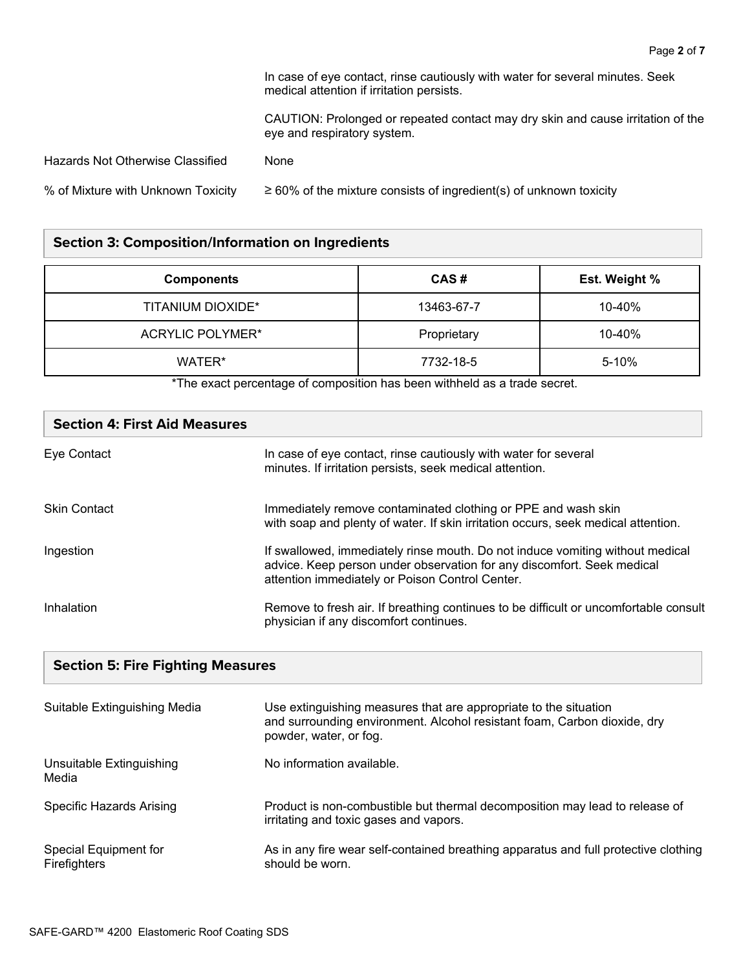In case of eye contact, rinse cautiously with water for several minutes. Seek medical attention if irritation persists.

CAUTION: Prolonged or repeated contact may dry skin and cause irritation of the eye and respiratory system.

| Hazards Not Otherwise Classified   | None                                                                    |
|------------------------------------|-------------------------------------------------------------------------|
| % of Mixture with Unknown Toxicity | $\geq$ 60% of the mixture consists of ingredient(s) of unknown toxicity |

## **Section 3: Composition/Information on Ingredients**

| <b>Components</b>        | CAS#        | <b>Est. Weight %</b> |
|--------------------------|-------------|----------------------|
| <b>TITANIUM DIOXIDE*</b> | 13463-67-7  | 10-40%               |
| ACRYLIC POLYMER*         | Proprietary | 10-40%               |
| WATER*                   | 7732-18-5   | 5-10%                |

\*The exact percentage of composition has been withheld as a trade secret.

| <b>Section 4: First Aid Measures</b>     |                                                                                                                                                                                                            |
|------------------------------------------|------------------------------------------------------------------------------------------------------------------------------------------------------------------------------------------------------------|
| Eye Contact                              | In case of eye contact, rinse cautiously with water for several<br>minutes. If irritation persists, seek medical attention.                                                                                |
| <b>Skin Contact</b>                      | Immediately remove contaminated clothing or PPE and wash skin<br>with soap and plenty of water. If skin irritation occurs, seek medical attention.                                                         |
| Ingestion                                | If swallowed, immediately rinse mouth. Do not induce vomiting without medical<br>advice. Keep person under observation for any discomfort. Seek medical<br>attention immediately or Poison Control Center. |
| Inhalation                               | Remove to fresh air. If breathing continues to be difficult or uncomfortable consult<br>physician if any discomfort continues.                                                                             |
| <b>Section 5: Fire Fighting Measures</b> |                                                                                                                                                                                                            |

| Suitable Extinguishing Media          | Use extinguishing measures that are appropriate to the situation<br>and surrounding environment. Alcohol resistant foam, Carbon dioxide, dry<br>powder, water, or fog. |
|---------------------------------------|------------------------------------------------------------------------------------------------------------------------------------------------------------------------|
| Unsuitable Extinguishing<br>Media     | No information available.                                                                                                                                              |
| Specific Hazards Arising              | Product is non-combustible but thermal decomposition may lead to release of<br>irritating and toxic gases and vapors.                                                  |
| Special Equipment for<br>Firefighters | As in any fire wear self-contained breathing apparatus and full protective clothing<br>should be worn.                                                                 |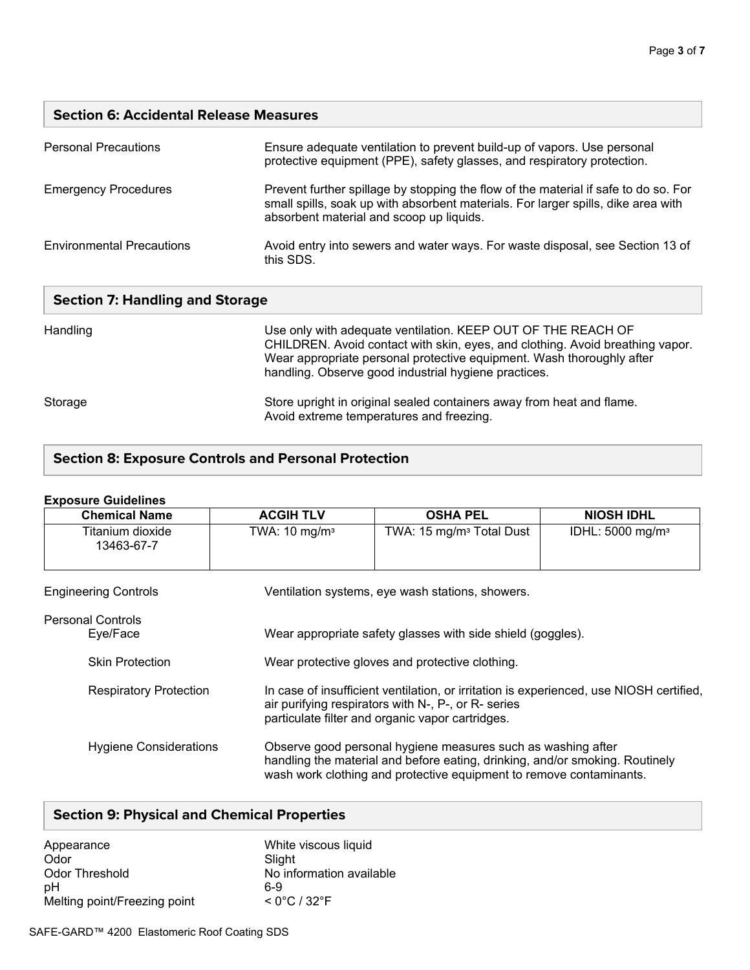## **Section 6: Accidental Release Measures**

| <b>Personal Precautions</b>      | Ensure adequate ventilation to prevent build-up of vapors. Use personal<br>protective equipment (PPE), safety glasses, and respiratory protection.                                                                   |
|----------------------------------|----------------------------------------------------------------------------------------------------------------------------------------------------------------------------------------------------------------------|
| <b>Emergency Procedures</b>      | Prevent further spillage by stopping the flow of the material if safe to do so. For<br>small spills, soak up with absorbent materials. For larger spills, dike area with<br>absorbent material and scoop up liquids. |
| <b>Environmental Precautions</b> | Avoid entry into sewers and water ways. For waste disposal, see Section 13 of<br>this SDS.                                                                                                                           |

|  |  | <b>Section 7: Handling and Storage</b> |  |  |
|--|--|----------------------------------------|--|--|
|--|--|----------------------------------------|--|--|

| Handling | Use only with adequate ventilation. KEEP OUT OF THE REACH OF<br>CHILDREN. Avoid contact with skin, eyes, and clothing. Avoid breathing vapor.<br>Wear appropriate personal protective equipment. Wash thoroughly after<br>handling. Observe good industrial hygiene practices. |
|----------|--------------------------------------------------------------------------------------------------------------------------------------------------------------------------------------------------------------------------------------------------------------------------------|
| Storage  | Store upright in original sealed containers away from heat and flame.<br>Avoid extreme temperatures and freezing.                                                                                                                                                              |

## **Section 8: Exposure Controls and Personal Protection**

# **Exposure Guidelines Chemical Name ACGIH TLV OSHA PEL NIOSH IDHL** Titanium dioxide 13463-67-7 TWA: 10 mg/m<sup>3</sup> | TWA: 15 mg/m<sup>3</sup> Total Dust | IDHL: 5000 mg/m<sup>3</sup> Engineering Controls Ventilation systems, eye wash stations, showers. Personal Controls Eye/Face Wear appropriate safety glasses with side shield (goggles). Skin Protection Wear protective gloves and protective clothing. Respiratory Protection In case of insufficient ventilation, or irritation is experienced, use NIOSH certified, air purifying respirators with N-, P-, or R- series particulate filter and organic vapor cartridges. Hygiene Considerations Observe good personal hygiene measures such as washing after handling the material and before eating, drinking, and/or smoking. Routinely wash work clothing and protective equipment to remove contaminants.

## **Section 9: Physical and Chemical Properties**

| Appearance                   | White viscous liquid              |
|------------------------------|-----------------------------------|
| Odor                         | Slight                            |
| Odor Threshold               | No information available          |
| рH                           | հ-9                               |
| Melting point/Freezing point | $< 0^{\circ}$ C / 32 $^{\circ}$ F |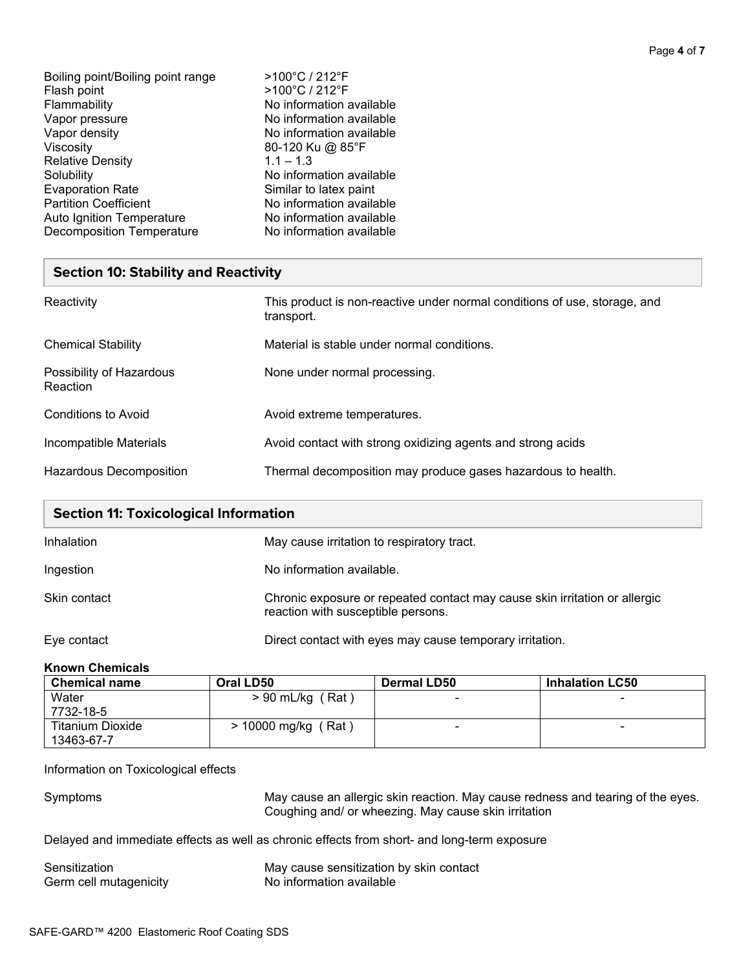| Boiling point/Boiling point range | >100°C / 212°F           |
|-----------------------------------|--------------------------|
| Flash point                       | >100°C / 212°F           |
| Flammability                      | No information available |
| Vapor pressure                    | No information available |
| Vapor density                     | No information available |
| Viscosity                         | 80-120 Ku @ 85°F         |
| <b>Relative Density</b>           | $1.1 - 1.3$              |
| Solubility                        | No information available |
| <b>Evaporation Rate</b>           | Similar to latex paint   |
| <b>Partition Coefficient</b>      | No information available |
| Auto Ignition Temperature         | No information available |
| <b>Decomposition Temperature</b>  | No information available |
|                                   |                          |

## **Section 10: Stability and Reactivity**

| Reactivity                           | This product is non-reactive under normal conditions of use, storage, and<br>transport. |
|--------------------------------------|-----------------------------------------------------------------------------------------|
| <b>Chemical Stability</b>            | Material is stable under normal conditions.                                             |
| Possibility of Hazardous<br>Reaction | None under normal processing.                                                           |
| Conditions to Avoid                  | Avoid extreme temperatures.                                                             |
| Incompatible Materials               | Avoid contact with strong oxidizing agents and strong acids                             |
| Hazardous Decomposition              | Thermal decomposition may produce gases hazardous to health.                            |

| <b>Section 11: Toxicological Information</b> |                                                                                                                  |  |
|----------------------------------------------|------------------------------------------------------------------------------------------------------------------|--|
| Inhalation                                   | May cause irritation to respiratory tract.                                                                       |  |
| Ingestion                                    | No information available.                                                                                        |  |
| Skin contact                                 | Chronic exposure or repeated contact may cause skin irritation or allergic<br>reaction with susceptible persons. |  |
| Eye contact                                  | Direct contact with eyes may cause temporary irritation.                                                         |  |

## **Known Chemicals**

| <b>Chemical name</b>    | Oral LD50             | <b>Dermal LD50</b>       | <b>Inhalation LC50</b> |
|-------------------------|-----------------------|--------------------------|------------------------|
| Water                   | $> 90$ mL/kg (Rat)    | $\equiv$                 | -                      |
| 7732-18-5               |                       |                          |                        |
| <b>Titanium Dioxide</b> | $> 10000$ mg/kg (Rat) | $\overline{\phantom{0}}$ |                        |
| 13463-67-7              |                       |                          |                        |

# Information on Toxicological effects

Symptoms May cause an allergic skin reaction. May cause redness and tearing of the eyes. Coughing and/ or wheezing. May cause skin irritation

Delayed and immediate effects as well as chronic effects from short- and long-term exposure

| Sensitization          | May cause sensitization by skin contact |
|------------------------|-----------------------------------------|
| Germ cell mutagenicity | No information available                |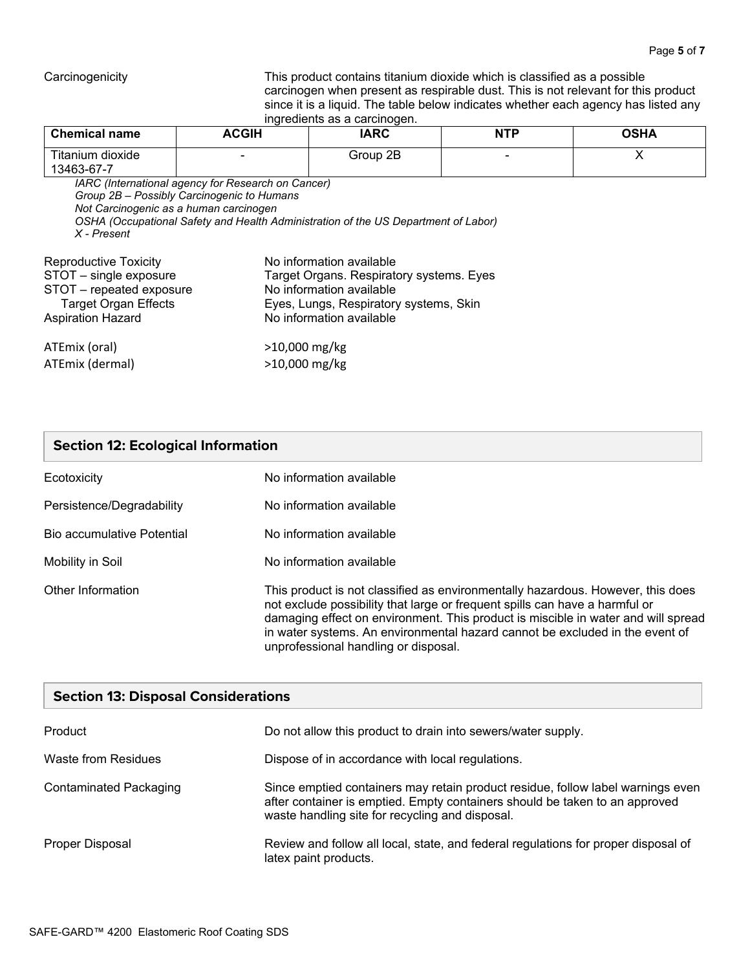Carcinogenicity This product contains titanium dioxide which is classified as a possible carcinogen when present as respirable dust. This is not relevant for this product since it is a liquid. The table below indicates whether each agency has listed any ingredients as a carcinogen.

| <b>Chemical name</b>           | <b>ACGIH</b> | IARC     | <b>NTP</b> | <b>OSHA</b> |
|--------------------------------|--------------|----------|------------|-------------|
| Titanium dioxide<br>13463-67-7 |              | Group 2B |            |             |

 *IARC (International agency for Research on Cancer) Group 2B – Possibly Carcinogenic to Humans Not Carcinogenic as a human carcinogen OSHA (Occupational Safety and Health Administration of the US Department of Labor) X - Present*

| Reproductive Toxicity       | No information available                 |  |
|-----------------------------|------------------------------------------|--|
| STOT - single exposure      | Target Organs. Respiratory systems. Eyes |  |
| STOT - repeated exposure    | No information available                 |  |
| <b>Target Organ Effects</b> | Eyes, Lungs, Respiratory systems, Skin   |  |
| <b>Aspiration Hazard</b>    | No information available                 |  |
| ATEmix (oral)               | $>10,000$ mg/kg                          |  |
| ATEmix (dermal)             | >10,000 mg/kg                            |  |

## **Section 12: Ecological Information**

| Ecotoxicity                | No information available                                                                                                                                                                                                                                                                                                            |
|----------------------------|-------------------------------------------------------------------------------------------------------------------------------------------------------------------------------------------------------------------------------------------------------------------------------------------------------------------------------------|
| Persistence/Degradability  | No information available                                                                                                                                                                                                                                                                                                            |
| Bio accumulative Potential | No information available                                                                                                                                                                                                                                                                                                            |
| Mobility in Soil           | No information available                                                                                                                                                                                                                                                                                                            |
| Other Information          | This product is not classified as environmentally hazardous. However, this does<br>not exclude possibility that large or frequent spills can have a harmful or<br>damaging effect on environment. This product is miscible in water and will spread<br>in water systems. An environmental hazard cannot be excluded in the event of |

unprofessional handling or disposal.

| <b>Section 13: Disposal Considerations</b> |                                                                                                                                                                                                                   |  |  |
|--------------------------------------------|-------------------------------------------------------------------------------------------------------------------------------------------------------------------------------------------------------------------|--|--|
| Product                                    | Do not allow this product to drain into sewers/water supply.                                                                                                                                                      |  |  |
| Waste from Residues                        | Dispose of in accordance with local regulations.                                                                                                                                                                  |  |  |
| Contaminated Packaging                     | Since emptied containers may retain product residue, follow label warnings even<br>after container is emptied. Empty containers should be taken to an approved<br>waste handling site for recycling and disposal. |  |  |
| Proper Disposal                            | Review and follow all local, state, and federal regulations for proper disposal of<br>latex paint products.                                                                                                       |  |  |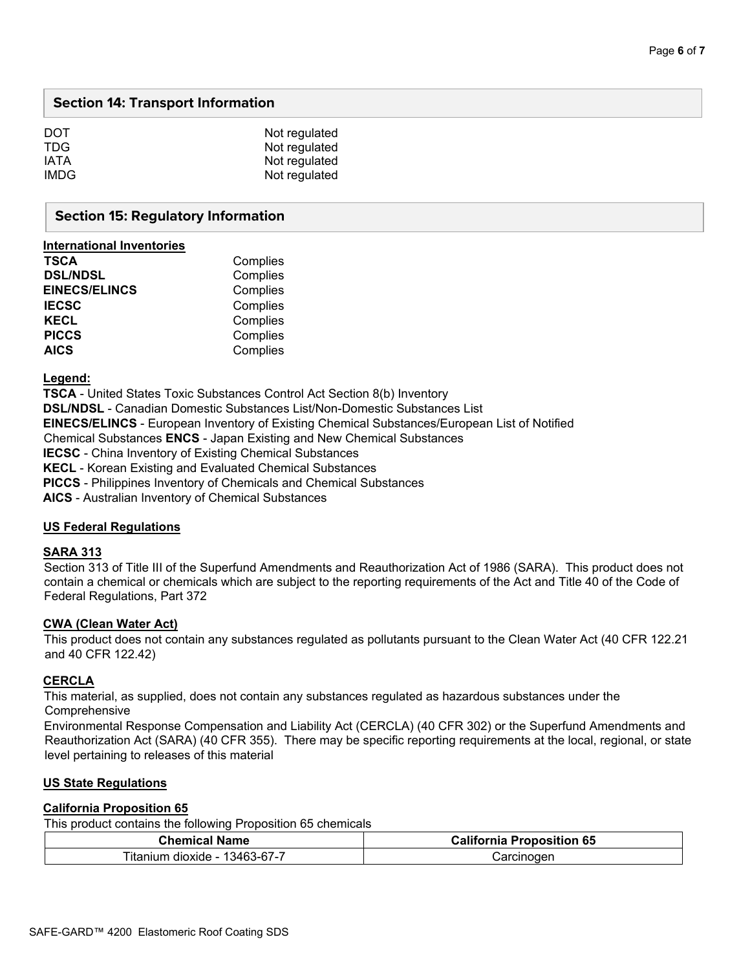## **Section 14: Transport Information**

| Not regulated |
|---------------|
| Not regulated |
| Not regulated |
| Not regulated |
|               |

#### **Section 15: Regulatory Information**

| international inventories |          |
|---------------------------|----------|
| <b>TSCA</b>               | Complies |
| <b>DSL/NDSL</b>           | Complies |
| <b>EINECS/ELINCS</b>      | Complies |
| <b>IECSC</b>              | Complies |
| <b>KECL</b>               | Complies |
| <b>PICCS</b>              | Complies |
| <b>AICS</b>               | Complies |
|                           |          |

**Legend:** 

**International Inventories** 

**TSCA** - United States Toxic Substances Control Act Section 8(b) Inventory **DSL/NDSL** - Canadian Domestic Substances List/Non-Domestic Substances List **EINECS/ELINCS** - European Inventory of Existing Chemical Substances/European List of Notified Chemical Substances **ENCS** - Japan Existing and New Chemical Substances **IECSC** - China Inventory of Existing Chemical Substances **KECL** - Korean Existing and Evaluated Chemical Substances **PICCS** - Philippines Inventory of Chemicals and Chemical Substances **AICS** - Australian Inventory of Chemical Substances

#### **US Federal Regulations**

#### **SARA 313**

Section 313 of Title III of the Superfund Amendments and Reauthorization Act of 1986 (SARA). This product does not contain a chemical or chemicals which are subject to the reporting requirements of the Act and Title 40 of the Code of Federal Regulations, Part 372

#### **CWA (Clean Water Act)**

This product does not contain any substances regulated as pollutants pursuant to the Clean Water Act (40 CFR 122.21 and 40 CFR 122.42)

#### **CERCLA**

This material, as supplied, does not contain any substances regulated as hazardous substances under the **Comprehensive** 

Environmental Response Compensation and Liability Act (CERCLA) (40 CFR 302) or the Superfund Amendments and Reauthorization Act (SARA) (40 CFR 355). There may be specific reporting requirements at the local, regional, or state level pertaining to releases of this material

#### **US State Regulations**

#### **California Proposition 65**

This product contains the following Proposition 65 chemicals

| <b>Chemical Name</b>               | <b>California Proposition 65</b> |
|------------------------------------|----------------------------------|
| 13463-67-7<br>Titanium dioxide - . | Carcinogen                       |